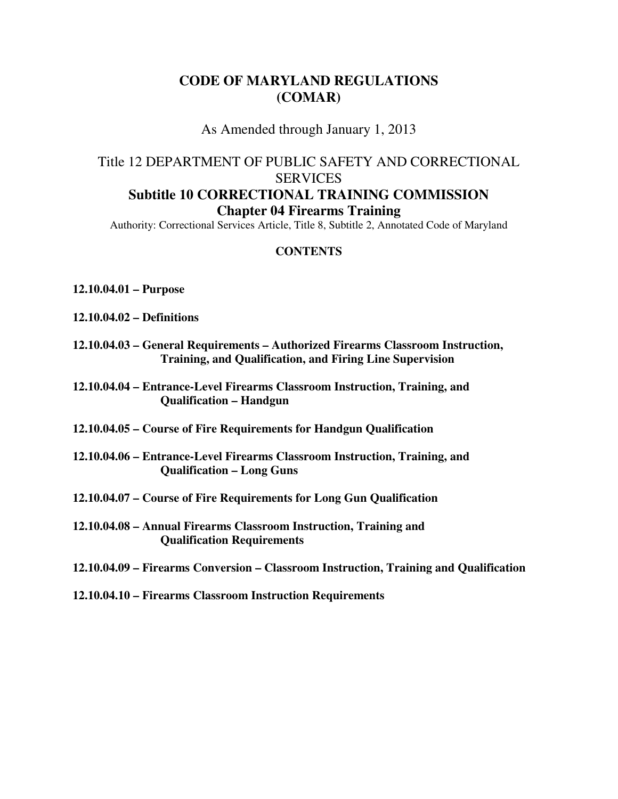# **CODE OF MARYLAND REGULATIONS (COMAR)**

As Amended through January 1, 2013

# Title 12 DEPARTMENT OF PUBLIC SAFETY AND CORRECTIONAL SERVICES **Subtitle 10 CORRECTIONAL TRAINING COMMISSION Chapter 04 Firearms Training**

Authority: Correctional Services Article, Title 8, Subtitle 2, Annotated Code of Maryland

### **CONTENTS**

- **12.10.04.01 Purpose**
- **12.10.04.02 Definitions**
- **12.10.04.03 General Requirements Authorized Firearms Classroom Instruction, Training, and Qualification, and Firing Line Supervision**
- **12.10.04.04 Entrance-Level Firearms Classroom Instruction, Training, and Qualification – Handgun**
- **12.10.04.05 Course of Fire Requirements for Handgun Qualification**
- **12.10.04.06 Entrance-Level Firearms Classroom Instruction, Training, and Qualification – Long Guns**
- **12.10.04.07 Course of Fire Requirements for Long Gun Qualification**
- **12.10.04.08 Annual Firearms Classroom Instruction, Training and Qualification Requirements**
- **12.10.04.09 Firearms Conversion Classroom Instruction, Training and Qualification**
- **12.10.04.10 Firearms Classroom Instruction Requirements**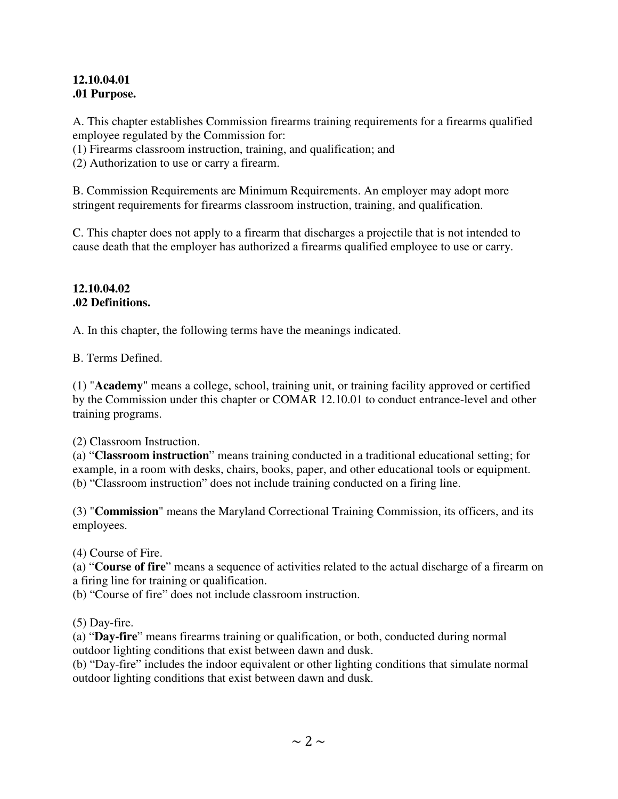### **12.10.04.01 .01 Purpose.**

A. This chapter establishes Commission firearms training requirements for a firearms qualified employee regulated by the Commission for:

(1) Firearms classroom instruction, training, and qualification; and

(2) Authorization to use or carry a firearm.

B. Commission Requirements are Minimum Requirements. An employer may adopt more stringent requirements for firearms classroom instruction, training, and qualification.

C. This chapter does not apply to a firearm that discharges a projectile that is not intended to cause death that the employer has authorized a firearms qualified employee to use or carry.

### **12.10.04.02 .02 Definitions.**

A. In this chapter, the following terms have the meanings indicated.

B. Terms Defined.

(1) "**Academy**" means a college, school, training unit, or training facility approved or certified by the Commission under this chapter or COMAR 12.10.01 to conduct entrance-level and other training programs.

(2) Classroom Instruction.

(a) "**Classroom instruction**" means training conducted in a traditional educational setting; for example, in a room with desks, chairs, books, paper, and other educational tools or equipment. (b) "Classroom instruction" does not include training conducted on a firing line.

(3) "**Commission**" means the Maryland Correctional Training Commission, its officers, and its employees.

(4) Course of Fire.

(a) "**Course of fire**" means a sequence of activities related to the actual discharge of a firearm on a firing line for training or qualification.

(b) "Course of fire" does not include classroom instruction.

(5) Day-fire.

(a) "**Day-fire**" means firearms training or qualification, or both, conducted during normal outdoor lighting conditions that exist between dawn and dusk.

(b) "Day-fire" includes the indoor equivalent or other lighting conditions that simulate normal outdoor lighting conditions that exist between dawn and dusk.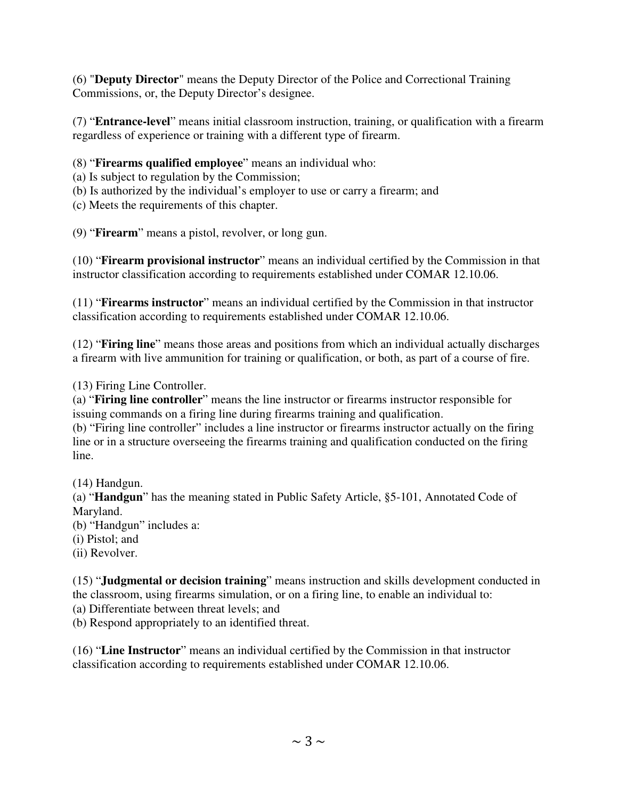(6) "**Deputy Director**" means the Deputy Director of the Police and Correctional Training Commissions, or, the Deputy Director's designee.

(7) "**Entrance-level**" means initial classroom instruction, training, or qualification with a firearm regardless of experience or training with a different type of firearm.

# (8) "**Firearms qualified employee**" means an individual who:

- (a) Is subject to regulation by the Commission;
- (b) Is authorized by the individual's employer to use or carry a firearm; and
- (c) Meets the requirements of this chapter.
- (9) "**Firearm**" means a pistol, revolver, or long gun.

(10) "**Firearm provisional instructor**" means an individual certified by the Commission in that instructor classification according to requirements established under COMAR 12.10.06.

(11) "**Firearms instructor**" means an individual certified by the Commission in that instructor classification according to requirements established under COMAR 12.10.06.

(12) "**Firing line**" means those areas and positions from which an individual actually discharges a firearm with live ammunition for training or qualification, or both, as part of a course of fire.

(13) Firing Line Controller.

(a) "**Firing line controller**" means the line instructor or firearms instructor responsible for issuing commands on a firing line during firearms training and qualification.

(b) "Firing line controller" includes a line instructor or firearms instructor actually on the firing line or in a structure overseeing the firearms training and qualification conducted on the firing line.

(14) Handgun.

(a) "**Handgun**" has the meaning stated in Public Safety Article, §5-101, Annotated Code of Maryland.

(b) "Handgun" includes a:

- (i) Pistol; and
- (ii) Revolver.

(15) "**Judgmental or decision training**" means instruction and skills development conducted in the classroom, using firearms simulation, or on a firing line, to enable an individual to:

(a) Differentiate between threat levels; and

(b) Respond appropriately to an identified threat.

(16) "**Line Instructor**" means an individual certified by the Commission in that instructor classification according to requirements established under COMAR 12.10.06.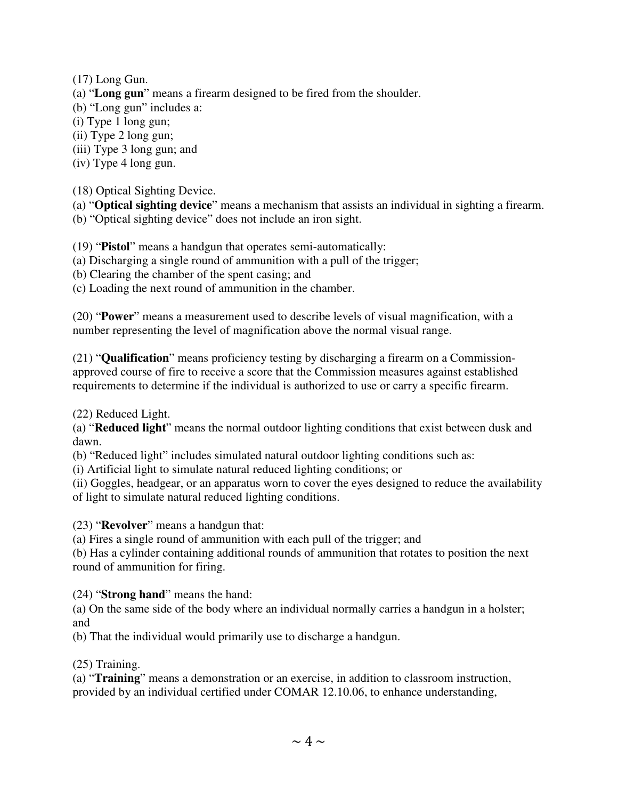(17) Long Gun.

- (a) "**Long gun**" means a firearm designed to be fired from the shoulder.
- (b) "Long gun" includes a:
- (i) Type 1 long gun;
- (ii) Type 2 long gun;
- (iii) Type 3 long gun; and
- (iv) Type 4 long gun.

(18) Optical Sighting Device.

(a) "**Optical sighting device**" means a mechanism that assists an individual in sighting a firearm.

(b) "Optical sighting device" does not include an iron sight.

(19) "**Pistol**" means a handgun that operates semi-automatically:

- (a) Discharging a single round of ammunition with a pull of the trigger;
- (b) Clearing the chamber of the spent casing; and

(c) Loading the next round of ammunition in the chamber.

(20) "**Power**" means a measurement used to describe levels of visual magnification, with a number representing the level of magnification above the normal visual range.

(21) "**Qualification**" means proficiency testing by discharging a firearm on a Commissionapproved course of fire to receive a score that the Commission measures against established requirements to determine if the individual is authorized to use or carry a specific firearm.

(22) Reduced Light.

(a) "**Reduced light**" means the normal outdoor lighting conditions that exist between dusk and dawn.

(b) "Reduced light" includes simulated natural outdoor lighting conditions such as:

(i) Artificial light to simulate natural reduced lighting conditions; or

(ii) Goggles, headgear, or an apparatus worn to cover the eyes designed to reduce the availability of light to simulate natural reduced lighting conditions.

(23) "**Revolver**" means a handgun that:

(a) Fires a single round of ammunition with each pull of the trigger; and

(b) Has a cylinder containing additional rounds of ammunition that rotates to position the next round of ammunition for firing.

(24) "**Strong hand**" means the hand:

(a) On the same side of the body where an individual normally carries a handgun in a holster; and

(b) That the individual would primarily use to discharge a handgun.

### (25) Training.

(a) "**Training**" means a demonstration or an exercise, in addition to classroom instruction, provided by an individual certified under COMAR 12.10.06, to enhance understanding,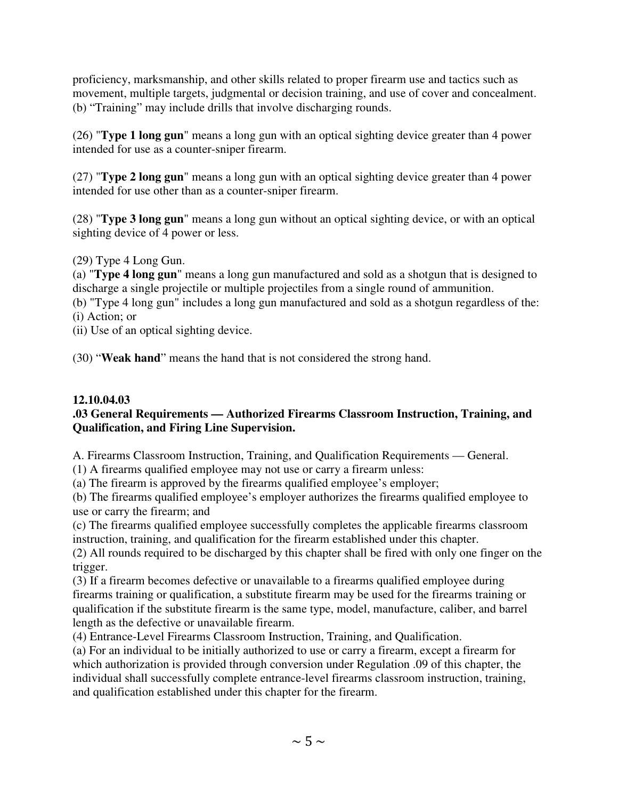proficiency, marksmanship, and other skills related to proper firearm use and tactics such as movement, multiple targets, judgmental or decision training, and use of cover and concealment. (b) "Training" may include drills that involve discharging rounds.

(26) "**Type 1 long gun**" means a long gun with an optical sighting device greater than 4 power intended for use as a counter-sniper firearm.

(27) "**Type 2 long gun**" means a long gun with an optical sighting device greater than 4 power intended for use other than as a counter-sniper firearm.

(28) "**Type 3 long gun**" means a long gun without an optical sighting device, or with an optical sighting device of 4 power or less.

(29) Type 4 Long Gun.

(a) "**Type 4 long gun**" means a long gun manufactured and sold as a shotgun that is designed to discharge a single projectile or multiple projectiles from a single round of ammunition.

(b) "Type 4 long gun" includes a long gun manufactured and sold as a shotgun regardless of the: (i) Action; or

(ii) Use of an optical sighting device.

(30) "**Weak hand**" means the hand that is not considered the strong hand.

# **12.10.04.03**

### **.03 General Requirements — Authorized Firearms Classroom Instruction, Training, and Qualification, and Firing Line Supervision.**

A. Firearms Classroom Instruction, Training, and Qualification Requirements — General.

(1) A firearms qualified employee may not use or carry a firearm unless:

(a) The firearm is approved by the firearms qualified employee's employer;

(b) The firearms qualified employee's employer authorizes the firearms qualified employee to use or carry the firearm; and

(c) The firearms qualified employee successfully completes the applicable firearms classroom instruction, training, and qualification for the firearm established under this chapter.

(2) All rounds required to be discharged by this chapter shall be fired with only one finger on the trigger.

(3) If a firearm becomes defective or unavailable to a firearms qualified employee during firearms training or qualification, a substitute firearm may be used for the firearms training or qualification if the substitute firearm is the same type, model, manufacture, caliber, and barrel length as the defective or unavailable firearm.

(4) Entrance-Level Firearms Classroom Instruction, Training, and Qualification.

(a) For an individual to be initially authorized to use or carry a firearm, except a firearm for which authorization is provided through conversion under Regulation .09 of this chapter, the individual shall successfully complete entrance-level firearms classroom instruction, training, and qualification established under this chapter for the firearm.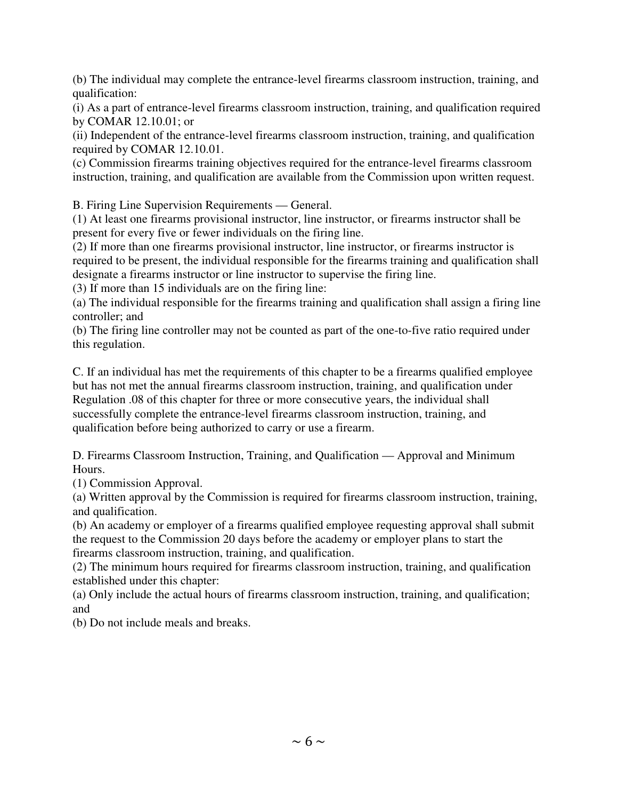(b) The individual may complete the entrance-level firearms classroom instruction, training, and qualification:

(i) As a part of entrance-level firearms classroom instruction, training, and qualification required by COMAR 12.10.01; or

(ii) Independent of the entrance-level firearms classroom instruction, training, and qualification required by COMAR 12.10.01.

(c) Commission firearms training objectives required for the entrance-level firearms classroom instruction, training, and qualification are available from the Commission upon written request.

B. Firing Line Supervision Requirements — General.

(1) At least one firearms provisional instructor, line instructor, or firearms instructor shall be present for every five or fewer individuals on the firing line.

(2) If more than one firearms provisional instructor, line instructor, or firearms instructor is required to be present, the individual responsible for the firearms training and qualification shall designate a firearms instructor or line instructor to supervise the firing line.

(3) If more than 15 individuals are on the firing line:

(a) The individual responsible for the firearms training and qualification shall assign a firing line controller; and

(b) The firing line controller may not be counted as part of the one-to-five ratio required under this regulation.

C. If an individual has met the requirements of this chapter to be a firearms qualified employee but has not met the annual firearms classroom instruction, training, and qualification under Regulation .08 of this chapter for three or more consecutive years, the individual shall successfully complete the entrance-level firearms classroom instruction, training, and qualification before being authorized to carry or use a firearm.

D. Firearms Classroom Instruction, Training, and Qualification — Approval and Minimum Hours.

(1) Commission Approval.

(a) Written approval by the Commission is required for firearms classroom instruction, training, and qualification.

(b) An academy or employer of a firearms qualified employee requesting approval shall submit the request to the Commission 20 days before the academy or employer plans to start the firearms classroom instruction, training, and qualification.

(2) The minimum hours required for firearms classroom instruction, training, and qualification established under this chapter:

(a) Only include the actual hours of firearms classroom instruction, training, and qualification; and

(b) Do not include meals and breaks.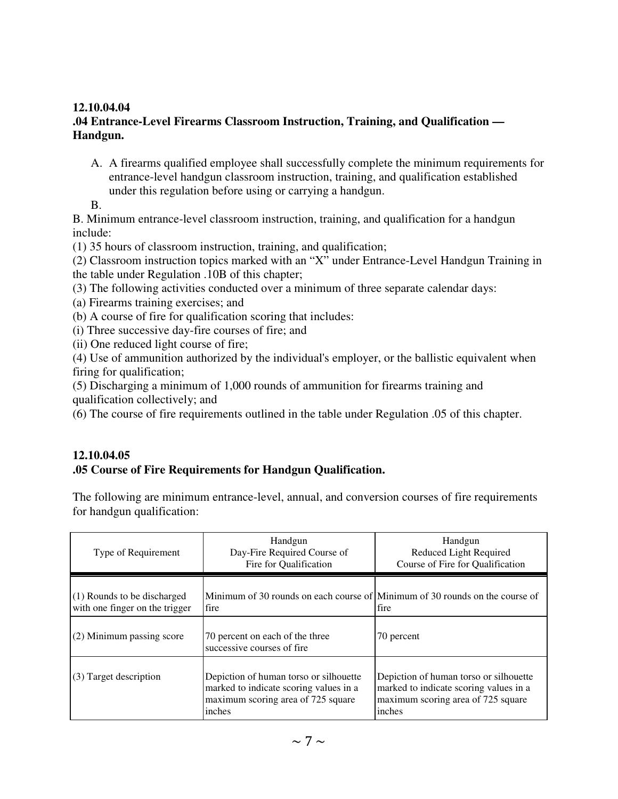### **12.10.04.04**

### **.04 Entrance-Level Firearms Classroom Instruction, Training, and Qualification — Handgun.**

A. A firearms qualified employee shall successfully complete the minimum requirements for entrance-level handgun classroom instruction, training, and qualification established under this regulation before using or carrying a handgun.

B.

B. Minimum entrance-level classroom instruction, training, and qualification for a handgun include:

(1) 35 hours of classroom instruction, training, and qualification;

(2) Classroom instruction topics marked with an "X" under Entrance-Level Handgun Training in the table under Regulation .10B of this chapter;

(3) The following activities conducted over a minimum of three separate calendar days:

(a) Firearms training exercises; and

(b) A course of fire for qualification scoring that includes:

(i) Three successive day-fire courses of fire; and

(ii) One reduced light course of fire;

(4) Use of ammunition authorized by the individual's employer, or the ballistic equivalent when firing for qualification;

(5) Discharging a minimum of 1,000 rounds of ammunition for firearms training and qualification collectively; and

(6) The course of fire requirements outlined in the table under Regulation .05 of this chapter.

### **12.10.04.05**

### **.05 Course of Fire Requirements for Handgun Qualification.**

The following are minimum entrance-level, annual, and conversion courses of fire requirements for handgun qualification:

| Type of Requirement                                           | Handgun<br>Day-Fire Required Course of<br>Fire for Qualification                                                                 | Handgun<br>Reduced Light Required<br>Course of Fire for Qualification                                                            |  |
|---------------------------------------------------------------|----------------------------------------------------------------------------------------------------------------------------------|----------------------------------------------------------------------------------------------------------------------------------|--|
| (1) Rounds to be discharged<br>with one finger on the trigger | Minimum of 30 rounds on each course of Minimum of 30 rounds on the course of<br>fire                                             | fire                                                                                                                             |  |
| (2) Minimum passing score                                     | 70 percent on each of the three<br>successive courses of fire                                                                    | 70 percent                                                                                                                       |  |
| (3) Target description                                        | Depiction of human torso or silhouette<br>marked to indicate scoring values in a<br>maximum scoring area of 725 square<br>inches | Depiction of human torso or silhouette<br>marked to indicate scoring values in a<br>maximum scoring area of 725 square<br>inches |  |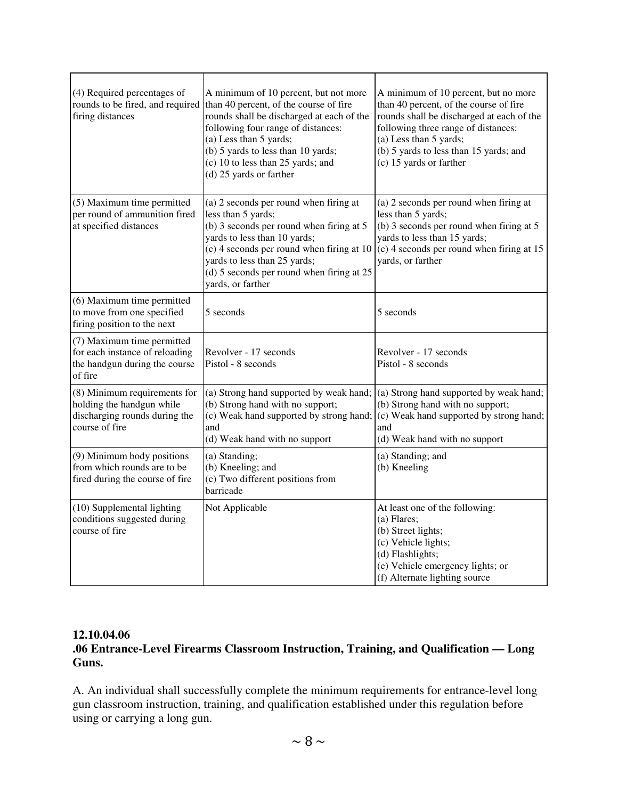| (4) Required percentages of<br>rounds to be fired, and required<br>firing distances                          | A minimum of 10 percent, but not more<br>than 40 percent, of the course of fire<br>rounds shall be discharged at each of the<br>following four range of distances:<br>(a) Less than 5 yards;<br>(b) 5 yards to less than 10 yards;<br>(c) 10 to less than 25 yards; and<br>(d) 25 yards or farther | A minimum of 10 percent, but no more<br>than 40 percent, of the course of fire<br>rounds shall be discharged at each of the<br>following three range of distances:<br>(a) Less than 5 yards;<br>(b) 5 yards to less than 15 yards; and<br>(c) 15 yards or farther |
|--------------------------------------------------------------------------------------------------------------|----------------------------------------------------------------------------------------------------------------------------------------------------------------------------------------------------------------------------------------------------------------------------------------------------|-------------------------------------------------------------------------------------------------------------------------------------------------------------------------------------------------------------------------------------------------------------------|
| (5) Maximum time permitted<br>per round of ammunition fired<br>at specified distances                        | (a) 2 seconds per round when firing at<br>less than 5 yards;<br>(b) 3 seconds per round when firing at 5<br>yards to less than 10 yards;<br>(c) 4 seconds per round when firing at 10<br>yards to less than 25 yards;<br>(d) 5 seconds per round when firing at 25<br>yards, or farther            | (a) 2 seconds per round when firing at<br>less than 5 yards;<br>(b) 3 seconds per round when firing at 5<br>yards to less than 15 yards;<br>(c) 4 seconds per round when firing at 15<br>yards, or farther                                                        |
| (6) Maximum time permitted<br>to move from one specified<br>firing position to the next                      | 5 seconds                                                                                                                                                                                                                                                                                          | 5 seconds                                                                                                                                                                                                                                                         |
| (7) Maximum time permitted<br>for each instance of reloading<br>the handgun during the course<br>of fire     | Revolver - 17 seconds<br>Pistol - 8 seconds                                                                                                                                                                                                                                                        | Revolver - 17 seconds<br>Pistol - 8 seconds                                                                                                                                                                                                                       |
| (8) Minimum requirements for<br>holding the handgun while<br>discharging rounds during the<br>course of fire | (a) Strong hand supported by weak hand;<br>(b) Strong hand with no support;<br>(c) Weak hand supported by strong hand;<br>and<br>(d) Weak hand with no support                                                                                                                                     | (a) Strong hand supported by weak hand;<br>(b) Strong hand with no support;<br>$(c)$ Weak hand supported by strong hand;<br>and<br>(d) Weak hand with no support                                                                                                  |
| (9) Minimum body positions<br>from which rounds are to be<br>fired during the course of fire                 | (a) Standing;<br>(b) Kneeling; and<br>(c) Two different positions from<br>barricade                                                                                                                                                                                                                | (a) Standing; and<br>(b) Kneeling                                                                                                                                                                                                                                 |
| (10) Supplemental lighting<br>conditions suggested during<br>course of fire                                  | Not Applicable                                                                                                                                                                                                                                                                                     | At least one of the following:<br>(a) Flares;<br>(b) Street lights;<br>(c) Vehicle lights;<br>(d) Flashlights;<br>(e) Vehicle emergency lights; or<br>(f) Alternate lighting source                                                                               |

### **12.10.04.06**

### **.06 Entrance-Level Firearms Classroom Instruction, Training, and Qualification — Long Guns.**

A. An individual shall successfully complete the minimum requirements for entrance-level long gun classroom instruction, training, and qualification established under this regulation before using or carrying a long gun.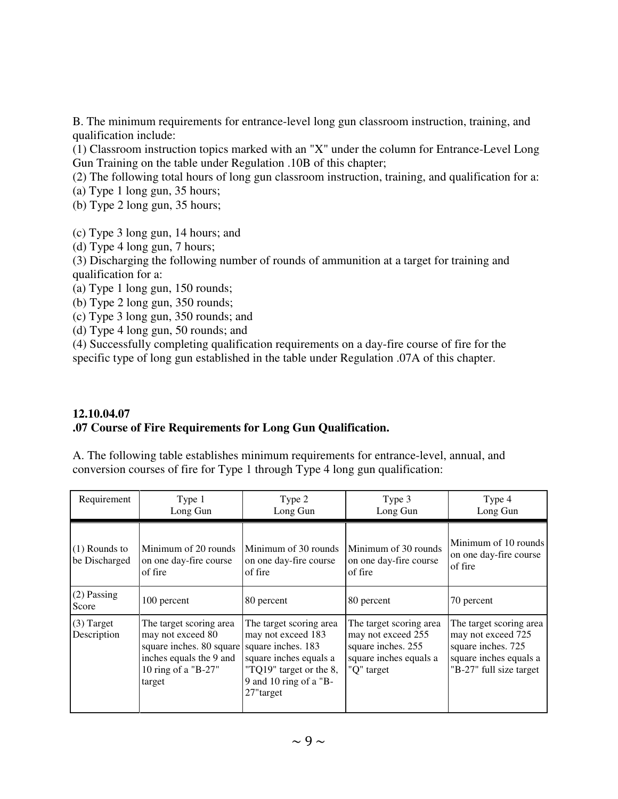B. The minimum requirements for entrance-level long gun classroom instruction, training, and qualification include:

(1) Classroom instruction topics marked with an "X" under the column for Entrance-Level Long Gun Training on the table under Regulation .10B of this chapter;

(2) The following total hours of long gun classroom instruction, training, and qualification for a:

(a) Type 1 long gun, 35 hours;

(b) Type 2 long gun, 35 hours;

(c) Type 3 long gun, 14 hours; and

(d) Type 4 long gun, 7 hours;

(3) Discharging the following number of rounds of ammunition at a target for training and qualification for a:

(a) Type 1 long gun, 150 rounds;

(b) Type 2 long gun, 350 rounds;

(c) Type 3 long gun, 350 rounds; and

(d) Type 4 long gun, 50 rounds; and

(4) Successfully completing qualification requirements on a day-fire course of fire for the specific type of long gun established in the table under Regulation .07A of this chapter.

### **12.10.04.07 .07 Course of Fire Requirements for Long Gun Qualification.**

A. The following table establishes minimum requirements for entrance-level, annual, and conversion courses of fire for Type 1 through Type 4 long gun qualification:

| Requirement                      | Type 1<br>Long Gun                                                                                                                   | Type 2<br>Long Gun                                                                                                                                              | Type 3<br>Long Gun                                                                                          | Type 4<br>Long Gun                                                                                                       |  |
|----------------------------------|--------------------------------------------------------------------------------------------------------------------------------------|-----------------------------------------------------------------------------------------------------------------------------------------------------------------|-------------------------------------------------------------------------------------------------------------|--------------------------------------------------------------------------------------------------------------------------|--|
| $(1)$ Rounds to<br>be Discharged | Minimum of 20 rounds<br>on one day-fire course<br>of fire                                                                            | Minimum of 30 rounds<br>on one day-fire course<br>of fire                                                                                                       | Minimum of 30 rounds<br>on one day-fire course<br>of fire                                                   | Minimum of 10 rounds<br>on one day-fire course<br>of fire                                                                |  |
| $(2)$ Passing<br>Score           | 100 percent                                                                                                                          | 80 percent                                                                                                                                                      | 80 percent                                                                                                  | 70 percent                                                                                                               |  |
| $(3)$ Target<br>Description      | The target scoring area<br>may not exceed 80<br>square inches. 80 square<br>inches equals the 9 and<br>10 ring of a "B-27"<br>target | The target scoring area<br>may not exceed 183<br>square inches. 183<br>square inches equals a<br>"TQ19" target or the 8,<br>9 and 10 ring of a "B-<br>27"target | The target scoring area<br>may not exceed 255<br>square inches. 255<br>square inches equals a<br>"Q" target | The target scoring area<br>may not exceed 725<br>square inches. 725<br>square inches equals a<br>"B-27" full size target |  |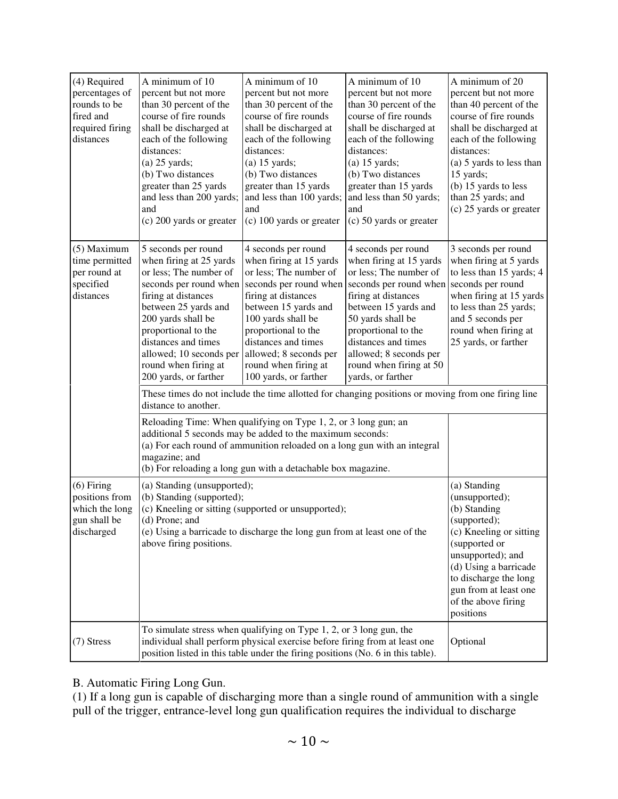| (4) Required<br>percentages of<br>rounds to be<br>fired and<br>required firing<br>distances | A minimum of 10<br>percent but not more<br>than 30 percent of the<br>course of fire rounds<br>shall be discharged at<br>each of the following<br>distances:<br>$(a)$ 25 yards;<br>(b) Two distances<br>greater than 25 yards<br>and less than 200 yards;<br>and<br>(c) 200 yards or greater       | A minimum of 10<br>percent but not more<br>than 30 percent of the<br>course of fire rounds<br>shall be discharged at<br>each of the following<br>distances:<br>$(a)$ 15 yards;<br>(b) Two distances<br>greater than 15 yards<br>and less than 100 yards;<br>and<br>(c) 100 yards or greater      | A minimum of 10<br>percent but not more<br>than 30 percent of the<br>course of fire rounds<br>shall be discharged at<br>each of the following<br>distances:<br>$(a)$ 15 yards;<br>(b) Two distances<br>greater than 15 yards<br>and less than 50 yards;<br>and<br>(c) 50 yards or greater      | A minimum of 20<br>percent but not more<br>than 40 percent of the<br>course of fire rounds<br>shall be discharged at<br>each of the following<br>distances:<br>(a) 5 yards to less than<br>15 yards;<br>(b) 15 yards to less<br>than 25 yards; and<br>(c) 25 yards or greater |  |  |
|---------------------------------------------------------------------------------------------|---------------------------------------------------------------------------------------------------------------------------------------------------------------------------------------------------------------------------------------------------------------------------------------------------|--------------------------------------------------------------------------------------------------------------------------------------------------------------------------------------------------------------------------------------------------------------------------------------------------|------------------------------------------------------------------------------------------------------------------------------------------------------------------------------------------------------------------------------------------------------------------------------------------------|-------------------------------------------------------------------------------------------------------------------------------------------------------------------------------------------------------------------------------------------------------------------------------|--|--|
| (5) Maximum<br>time permitted<br>per round at<br>specified<br>distances                     | 5 seconds per round<br>when firing at 25 yards<br>or less; The number of<br>seconds per round when<br>firing at distances<br>between 25 yards and<br>200 yards shall be<br>proportional to the<br>distances and times<br>allowed; 10 seconds per<br>round when firing at<br>200 yards, or farther | 4 seconds per round<br>when firing at 15 yards<br>or less; The number of<br>seconds per round when<br>firing at distances<br>between 15 yards and<br>100 yards shall be<br>proportional to the<br>distances and times<br>allowed; 8 seconds per<br>round when firing at<br>100 yards, or farther | 4 seconds per round<br>when firing at 15 yards<br>or less; The number of<br>seconds per round when<br>firing at distances<br>between 15 yards and<br>50 yards shall be<br>proportional to the<br>distances and times<br>allowed; 8 seconds per<br>round when firing at 50<br>yards, or farther | 3 seconds per round<br>when firing at 5 yards<br>to less than 15 yards; 4<br>seconds per round<br>when firing at 15 yards<br>to less than 25 yards;<br>and 5 seconds per<br>round when firing at<br>25 yards, or farther                                                      |  |  |
|                                                                                             | These times do not include the time allotted for changing positions or moving from one firing line<br>distance to another.                                                                                                                                                                        |                                                                                                                                                                                                                                                                                                  |                                                                                                                                                                                                                                                                                                |                                                                                                                                                                                                                                                                               |  |  |
|                                                                                             | Reloading Time: When qualifying on Type 1, 2, or 3 long gun; an<br>additional 5 seconds may be added to the maximum seconds:<br>(a) For each round of ammunition reloaded on a long gun with an integral<br>magazine; and<br>(b) For reloading a long gun with a detachable box magazine.         |                                                                                                                                                                                                                                                                                                  |                                                                                                                                                                                                                                                                                                |                                                                                                                                                                                                                                                                               |  |  |
| $(6)$ Firing<br>positions from<br>which the long<br>gun shall be<br>discharged              | (a) Standing (unsupported);<br>(b) Standing (supported);<br>(d) Prone; and<br>above firing positions.                                                                                                                                                                                             | (c) Kneeling or sitting (supported or unsupported);<br>(e) Using a barricade to discharge the long gun from at least one of the                                                                                                                                                                  | (a) Standing<br>(unsupported);<br>(b) Standing<br>(supported);<br>(c) Kneeling or sitting<br>(supported or<br>unsupported); and<br>(d) Using a barricade<br>to discharge the long<br>gun from at least one<br>of the above firing<br>positions                                                 |                                                                                                                                                                                                                                                                               |  |  |
| $(7)$ Stress                                                                                | To simulate stress when qualifying on Type 1, 2, or 3 long gun, the<br>individual shall perform physical exercise before firing from at least one<br>position listed in this table under the firing positions (No. 6 in this table).                                                              | Optional                                                                                                                                                                                                                                                                                         |                                                                                                                                                                                                                                                                                                |                                                                                                                                                                                                                                                                               |  |  |

B. Automatic Firing Long Gun.

(1) If a long gun is capable of discharging more than a single round of ammunition with a single pull of the trigger, entrance-level long gun qualification requires the individual to discharge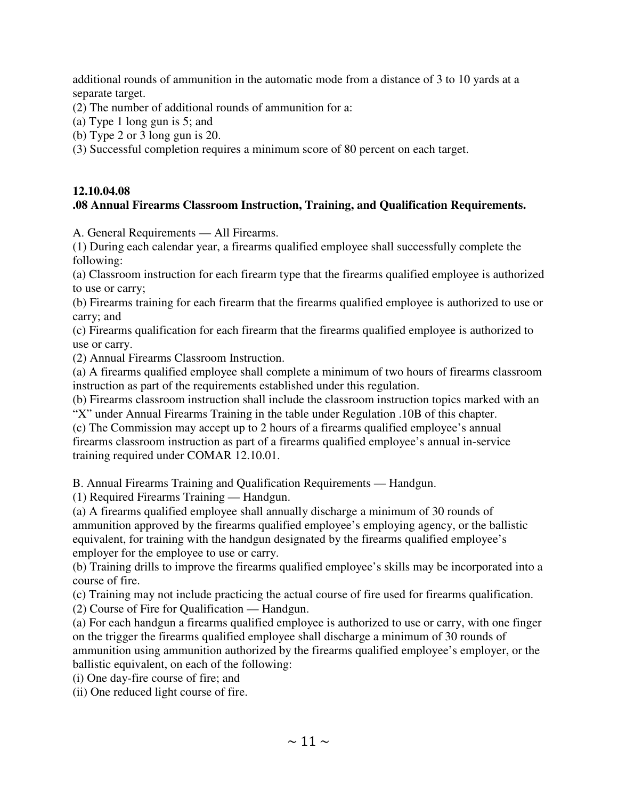additional rounds of ammunition in the automatic mode from a distance of 3 to 10 yards at a separate target.

(2) The number of additional rounds of ammunition for a:

(a) Type 1 long gun is 5; and

(b) Type 2 or 3 long gun is 20.

(3) Successful completion requires a minimum score of 80 percent on each target.

### **12.10.04.08 .08 Annual Firearms Classroom Instruction, Training, and Qualification Requirements.**

A. General Requirements — All Firearms.

(1) During each calendar year, a firearms qualified employee shall successfully complete the following:

(a) Classroom instruction for each firearm type that the firearms qualified employee is authorized to use or carry;

(b) Firearms training for each firearm that the firearms qualified employee is authorized to use or carry; and

(c) Firearms qualification for each firearm that the firearms qualified employee is authorized to use or carry.

(2) Annual Firearms Classroom Instruction.

(a) A firearms qualified employee shall complete a minimum of two hours of firearms classroom instruction as part of the requirements established under this regulation.

(b) Firearms classroom instruction shall include the classroom instruction topics marked with an "X" under Annual Firearms Training in the table under Regulation .10B of this chapter.

(c) The Commission may accept up to 2 hours of a firearms qualified employee's annual firearms classroom instruction as part of a firearms qualified employee's annual in-service training required under COMAR 12.10.01.

B. Annual Firearms Training and Qualification Requirements — Handgun.

(1) Required Firearms Training — Handgun.

(a) A firearms qualified employee shall annually discharge a minimum of 30 rounds of ammunition approved by the firearms qualified employee's employing agency, or the ballistic equivalent, for training with the handgun designated by the firearms qualified employee's employer for the employee to use or carry.

(b) Training drills to improve the firearms qualified employee's skills may be incorporated into a course of fire.

(c) Training may not include practicing the actual course of fire used for firearms qualification.

(2) Course of Fire for Qualification — Handgun.

(a) For each handgun a firearms qualified employee is authorized to use or carry, with one finger on the trigger the firearms qualified employee shall discharge a minimum of 30 rounds of ammunition using ammunition authorized by the firearms qualified employee's employer, or the ballistic equivalent, on each of the following:

(i) One day-fire course of fire; and

(ii) One reduced light course of fire.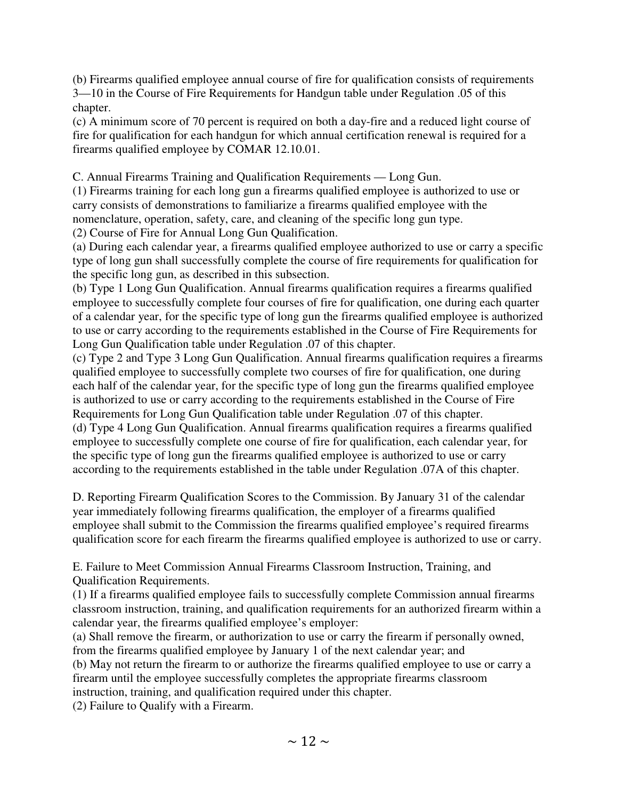(b) Firearms qualified employee annual course of fire for qualification consists of requirements 3—10 in the Course of Fire Requirements for Handgun table under Regulation .05 of this chapter.

(c) A minimum score of 70 percent is required on both a day-fire and a reduced light course of fire for qualification for each handgun for which annual certification renewal is required for a firearms qualified employee by COMAR 12.10.01.

C. Annual Firearms Training and Qualification Requirements — Long Gun.

(1) Firearms training for each long gun a firearms qualified employee is authorized to use or carry consists of demonstrations to familiarize a firearms qualified employee with the nomenclature, operation, safety, care, and cleaning of the specific long gun type.

(2) Course of Fire for Annual Long Gun Qualification.

(a) During each calendar year, a firearms qualified employee authorized to use or carry a specific type of long gun shall successfully complete the course of fire requirements for qualification for the specific long gun, as described in this subsection.

(b) Type 1 Long Gun Qualification. Annual firearms qualification requires a firearms qualified employee to successfully complete four courses of fire for qualification, one during each quarter of a calendar year, for the specific type of long gun the firearms qualified employee is authorized to use or carry according to the requirements established in the Course of Fire Requirements for Long Gun Qualification table under Regulation .07 of this chapter.

(c) Type 2 and Type 3 Long Gun Qualification. Annual firearms qualification requires a firearms qualified employee to successfully complete two courses of fire for qualification, one during each half of the calendar year, for the specific type of long gun the firearms qualified employee is authorized to use or carry according to the requirements established in the Course of Fire Requirements for Long Gun Qualification table under Regulation .07 of this chapter. (d) Type 4 Long Gun Qualification. Annual firearms qualification requires a firearms qualified employee to successfully complete one course of fire for qualification, each calendar year, for the specific type of long gun the firearms qualified employee is authorized to use or carry according to the requirements established in the table under Regulation .07A of this chapter.

D. Reporting Firearm Qualification Scores to the Commission. By January 31 of the calendar year immediately following firearms qualification, the employer of a firearms qualified employee shall submit to the Commission the firearms qualified employee's required firearms qualification score for each firearm the firearms qualified employee is authorized to use or carry.

E. Failure to Meet Commission Annual Firearms Classroom Instruction, Training, and Qualification Requirements.

(1) If a firearms qualified employee fails to successfully complete Commission annual firearms classroom instruction, training, and qualification requirements for an authorized firearm within a calendar year, the firearms qualified employee's employer:

(a) Shall remove the firearm, or authorization to use or carry the firearm if personally owned, from the firearms qualified employee by January 1 of the next calendar year; and

(b) May not return the firearm to or authorize the firearms qualified employee to use or carry a firearm until the employee successfully completes the appropriate firearms classroom instruction, training, and qualification required under this chapter.

(2) Failure to Qualify with a Firearm.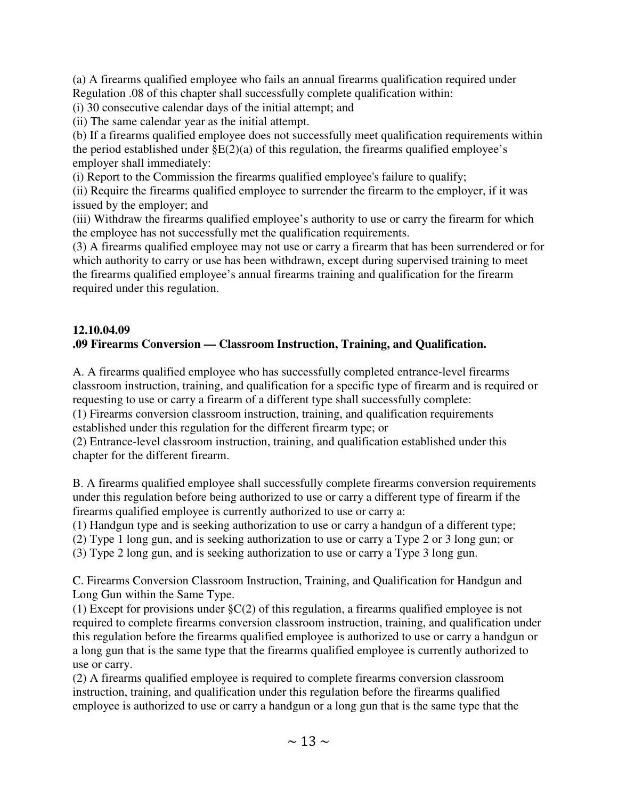(a) A firearms qualified employee who fails an annual firearms qualification required under Regulation .08 of this chapter shall successfully complete qualification within:

(i) 30 consecutive calendar days of the initial attempt; and

(ii) The same calendar year as the initial attempt.

(b) If a firearms qualified employee does not successfully meet qualification requirements within the period established under  $\S E(2)(a)$  of this regulation, the firearms qualified employee's employer shall immediately:

(i) Report to the Commission the firearms qualified employee's failure to qualify;

(ii) Require the firearms qualified employee to surrender the firearm to the employer, if it was issued by the employer; and

(iii) Withdraw the firearms qualified employee's authority to use or carry the firearm for which the employee has not successfully met the qualification requirements.

(3) A firearms qualified employee may not use or carry a firearm that has been surrendered or for which authority to carry or use has been withdrawn, except during supervised training to meet the firearms qualified employee's annual firearms training and qualification for the firearm required under this regulation.

#### **12.10.04.09 .09 Firearms Conversion — Classroom Instruction, Training, and Qualification.**

A. A firearms qualified employee who has successfully completed entrance-level firearms classroom instruction, training, and qualification for a specific type of firearm and is required or requesting to use or carry a firearm of a different type shall successfully complete:

(1) Firearms conversion classroom instruction, training, and qualification requirements established under this regulation for the different firearm type; or

(2) Entrance-level classroom instruction, training, and qualification established under this chapter for the different firearm.

B. A firearms qualified employee shall successfully complete firearms conversion requirements under this regulation before being authorized to use or carry a different type of firearm if the firearms qualified employee is currently authorized to use or carry a:

(1) Handgun type and is seeking authorization to use or carry a handgun of a different type;

(2) Type 1 long gun, and is seeking authorization to use or carry a Type 2 or 3 long gun; or

(3) Type 2 long gun, and is seeking authorization to use or carry a Type 3 long gun.

C. Firearms Conversion Classroom Instruction, Training, and Qualification for Handgun and Long Gun within the Same Type.

(1) Except for provisions under §C(2) of this regulation, a firearms qualified employee is not required to complete firearms conversion classroom instruction, training, and qualification under this regulation before the firearms qualified employee is authorized to use or carry a handgun or a long gun that is the same type that the firearms qualified employee is currently authorized to use or carry.

(2) A firearms qualified employee is required to complete firearms conversion classroom instruction, training, and qualification under this regulation before the firearms qualified employee is authorized to use or carry a handgun or a long gun that is the same type that the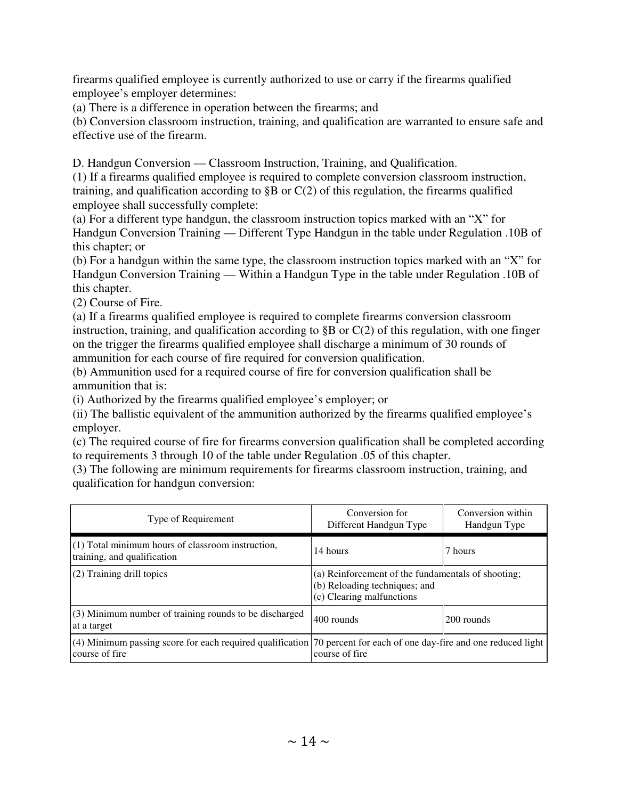firearms qualified employee is currently authorized to use or carry if the firearms qualified employee's employer determines:

(a) There is a difference in operation between the firearms; and

(b) Conversion classroom instruction, training, and qualification are warranted to ensure safe and effective use of the firearm.

D. Handgun Conversion — Classroom Instruction, Training, and Qualification.

(1) If a firearms qualified employee is required to complete conversion classroom instruction, training, and qualification according to  $\S$ B or  $C(2)$  of this regulation, the firearms qualified employee shall successfully complete:

(a) For a different type handgun, the classroom instruction topics marked with an "X" for Handgun Conversion Training — Different Type Handgun in the table under Regulation .10B of this chapter; or

(b) For a handgun within the same type, the classroom instruction topics marked with an "X" for Handgun Conversion Training — Within a Handgun Type in the table under Regulation .10B of this chapter.

(2) Course of Fire.

(a) If a firearms qualified employee is required to complete firearms conversion classroom instruction, training, and qualification according to  $\S$ B or  $C(2)$  of this regulation, with one finger on the trigger the firearms qualified employee shall discharge a minimum of 30 rounds of ammunition for each course of fire required for conversion qualification.

(b) Ammunition used for a required course of fire for conversion qualification shall be ammunition that is:

(i) Authorized by the firearms qualified employee's employer; or

(ii) The ballistic equivalent of the ammunition authorized by the firearms qualified employee's employer.

(c) The required course of fire for firearms conversion qualification shall be completed according to requirements 3 through 10 of the table under Regulation .05 of this chapter.

(3) The following are minimum requirements for firearms classroom instruction, training, and qualification for handgun conversion:

| Type of Requirement                                                                                                                   | Conversion for<br>Different Handgun Type                                                                         | Conversion within<br>Handgun Type |  |
|---------------------------------------------------------------------------------------------------------------------------------------|------------------------------------------------------------------------------------------------------------------|-----------------------------------|--|
| $(1)$ Total minimum hours of classroom instruction,<br>training, and qualification                                                    | 14 hours                                                                                                         | 7 hours                           |  |
| (2) Training drill topics                                                                                                             | (a) Reinforcement of the fundamentals of shooting;<br>(b) Reloading techniques; and<br>(c) Clearing malfunctions |                                   |  |
| (3) Minimum number of training rounds to be discharged<br>at a target                                                                 | 400 rounds<br>200 rounds                                                                                         |                                   |  |
| (4) Minimum passing score for each required qualification 70 percent for each of one day-fire and one reduced light<br>course of fire | course of fire                                                                                                   |                                   |  |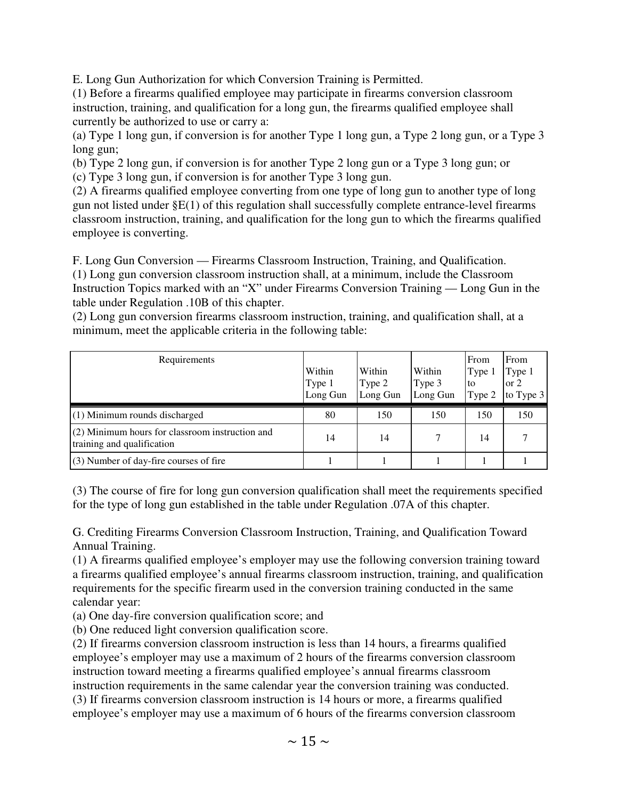E. Long Gun Authorization for which Conversion Training is Permitted.

(1) Before a firearms qualified employee may participate in firearms conversion classroom instruction, training, and qualification for a long gun, the firearms qualified employee shall currently be authorized to use or carry a:

(a) Type 1 long gun, if conversion is for another Type 1 long gun, a Type 2 long gun, or a Type 3 long gun;

(b) Type 2 long gun, if conversion is for another Type 2 long gun or a Type 3 long gun; or (c) Type 3 long gun, if conversion is for another Type 3 long gun.

(2) A firearms qualified employee converting from one type of long gun to another type of long gun not listed under §E(1) of this regulation shall successfully complete entrance-level firearms classroom instruction, training, and qualification for the long gun to which the firearms qualified employee is converting.

F. Long Gun Conversion — Firearms Classroom Instruction, Training, and Qualification. (1) Long gun conversion classroom instruction shall, at a minimum, include the Classroom Instruction Topics marked with an "X" under Firearms Conversion Training — Long Gun in the table under Regulation .10B of this chapter.

(2) Long gun conversion firearms classroom instruction, training, and qualification shall, at a minimum, meet the applicable criteria in the following table:

| Requirements                                                                    | Within<br>Type 1<br>Long Gun | Within<br>Type 2<br>Long Gun | Within<br>Type 3<br>Long Gun | From<br>Type 1<br>to<br>Type 2 | From<br>Type 1<br>$\sigma$ 2<br>to Type $3$ |
|---------------------------------------------------------------------------------|------------------------------|------------------------------|------------------------------|--------------------------------|---------------------------------------------|
| $(1)$ Minimum rounds discharged                                                 | 80                           | 150                          | 150                          | 150                            | 150                                         |
| $(2)$ Minimum hours for classroom instruction and<br>training and qualification | 14                           | 14                           |                              | 14                             |                                             |
| $(3)$ Number of day-fire courses of fire                                        |                              |                              |                              |                                |                                             |

(3) The course of fire for long gun conversion qualification shall meet the requirements specified for the type of long gun established in the table under Regulation .07A of this chapter.

G. Crediting Firearms Conversion Classroom Instruction, Training, and Qualification Toward Annual Training.

(1) A firearms qualified employee's employer may use the following conversion training toward a firearms qualified employee's annual firearms classroom instruction, training, and qualification requirements for the specific firearm used in the conversion training conducted in the same calendar year:

(a) One day-fire conversion qualification score; and

(b) One reduced light conversion qualification score.

(2) If firearms conversion classroom instruction is less than 14 hours, a firearms qualified employee's employer may use a maximum of 2 hours of the firearms conversion classroom instruction toward meeting a firearms qualified employee's annual firearms classroom instruction requirements in the same calendar year the conversion training was conducted. (3) If firearms conversion classroom instruction is 14 hours or more, a firearms qualified employee's employer may use a maximum of 6 hours of the firearms conversion classroom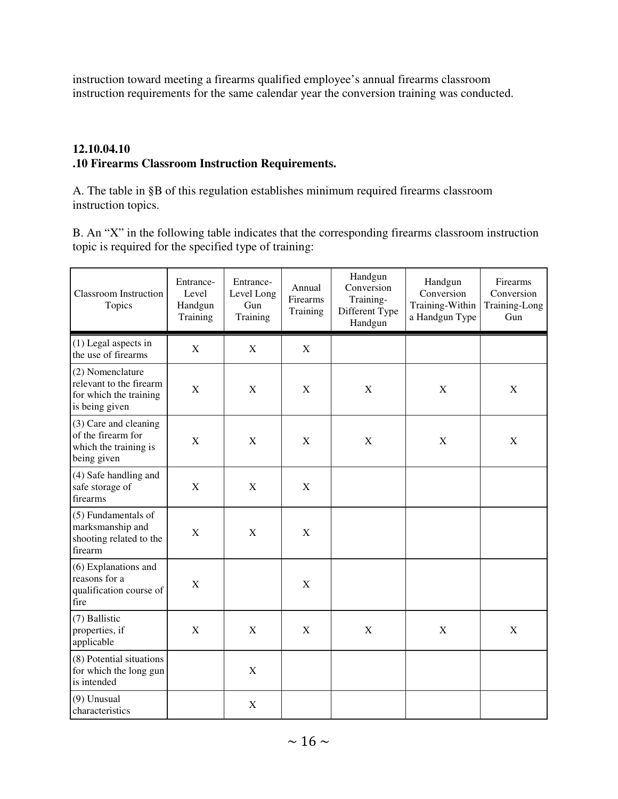instruction toward meeting a firearms qualified employee's annual firearms classroom instruction requirements for the same calendar year the conversion training was conducted.

#### **12.10.04.10 .10 Firearms Classroom Instruction Requirements.**

A. The table in §B of this regulation establishes minimum required firearms classroom instruction topics.

B. An "X" in the following table indicates that the corresponding firearms classroom instruction topic is required for the specified type of training:

| <b>Classroom Instruction</b><br>Topics                                                  | Entrance-<br>Level<br>Handgun<br>Training | Entrance-<br>Level Long<br><b>Gun</b><br>Training | Annual<br>Firearms<br>Training | Handgun<br>Conversion<br>Training-<br>Different Type<br>Handgun | Handgun<br>Conversion<br>Training-Within<br>a Handgun Type | Firearms<br>Conversion<br>Training-Long<br>Gun |
|-----------------------------------------------------------------------------------------|-------------------------------------------|---------------------------------------------------|--------------------------------|-----------------------------------------------------------------|------------------------------------------------------------|------------------------------------------------|
| $(1)$ Legal aspects in<br>the use of firearms                                           | $\mathbf X$                               | $\mathbf X$                                       | X                              |                                                                 |                                                            |                                                |
| (2) Nomenclature<br>relevant to the firearm<br>for which the training<br>is being given | X                                         | X                                                 | X                              | X                                                               | X                                                          | X                                              |
| (3) Care and cleaning<br>of the firearm for<br>which the training is<br>being given     | X                                         | $\boldsymbol{\mathrm{X}}$                         | $\mathbf X$                    | X                                                               | $\mathbf X$                                                | $\mathbf X$                                    |
| (4) Safe handling and<br>safe storage of<br>firearms                                    | $\mathbf X$                               | $\boldsymbol{\mathrm{X}}$                         | X                              |                                                                 |                                                            |                                                |
| (5) Fundamentals of<br>marksmanship and<br>shooting related to the<br>firearm           | $\mathbf X$                               | $\mathbf X$                                       | X                              |                                                                 |                                                            |                                                |
| (6) Explanations and<br>reasons for a<br>qualification course of<br>fire                | X                                         |                                                   | $\mathbf X$                    |                                                                 |                                                            |                                                |
| (7) Ballistic<br>properties, if<br>applicable                                           | $\mathbf X$                               | X                                                 | X                              | X                                                               | $\mathbf X$                                                | $\mathbf X$                                    |
| (8) Potential situations<br>for which the long gun<br>is intended                       |                                           | $\mathbf X$                                       |                                |                                                                 |                                                            |                                                |
| (9) Unusual<br>characteristics                                                          |                                           | X                                                 |                                |                                                                 |                                                            |                                                |